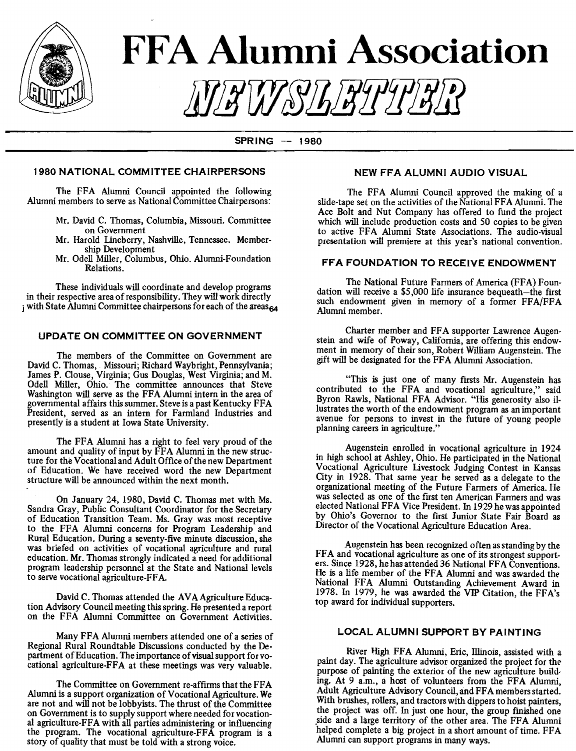

# **FFA Alumni Association** !iY!iW&lli!ifflf!ff *[f]*

SPRING -- <sup>1980</sup>

#### 1980 NATIONAL COMMITTEE CHAIRPERSONS

The FFA Alumni Council appointed the following Alumni members to serve as National Committee Chairpersons:

- Mr. David C. Thomas, Columbia, Missouri. Committee on Government
- Mr. Harold Lineberry, Nashville, Tennessee. Membership Development
- Mr. Odell Miller, Columbus, Ohio. Alumni-Foundation Relations.

These individuals will coordinate and develop programs in their respective area of responsibility. They will work directly i with State Alumni Committee chairpersons for each of the areas<sub>64</sub>

#### UPDATE ON COMMITTEE ON GOVERNMENT

The members of the Committee on Government are David C. Thomas, Missouri; Richard Waybright, Pennsylvania; James P. Clouse, Virginia; Gus Douglas, West Virginia; and M. Odell Miller, Ohio. The committee announces that Steve Washington will serve as the FFA Alumni intern in the area of governmental affairs this summer. Steve is a past Kentucky FF A President, served as an intern for Farmland Industries and presently is a student at Iowa State University.

The FFA Alumni has a right to feel very proud of the amount and quality of input by FFA Alumni in the new structure for the Vocational and Adult Office of the new Department of Education. We have received word the new Department structure will be announced within the next month.

On January 24, 1980, David C. Thomas met with Ms. Sandra Gray, Public Consultant Coordinator for the Secretary of Education Transition Team. Ms. Gray was most receptive to the FFA Alumni concerns for Program Leadership and Rural Education. During a seventy-five minute discussion, she was briefed on activities of vocational agriculture and rural education. Mr. Thomas strongly indicated a need for additional program leadership personnel at the State and National levels to serve vocational agriculture-FF A.

David C. Thomas attended the AVA Agriculture Education Advisory Council meeting this spring. He presented a report on the FFA Alumni Committee on Government Activities.

Many FFA Alumni members attended one of a series of Regional Rural Roundtable Discussions conducted by the Department of Education. The importance of visual support for vocational agriculture-FFA at these meetings was very valuable.

The Committee on Government re-affirms that the FFA Alumni is a support organization of Vocational Agriculture. We are not and will not be lobbyists. The thrust of the Committee on Government is to supply support where needed for vocational agriculture-FFA with all parties administering or influencing the program. The vocational agriculture-FFA program is a story of quality that must be told with a strong voice.

#### NEW FFA ALUMNI AUDIO VISUAL

The FFA Alumni Council approved the making of a slide-tape set on the activities of the National FFA Alumni. The Ace Bolt and Nut Company has offered to fund the project which will include production costs and 50 copies to be given to active FFA Alumni State Associations. The audio-visual presentation will premiere at this year's national convention.

#### FFA FOUNDATION TO RECEIVE ENDOWMENT

The National Future Farmers of America (FFA) Foundation will receive a \$5,000 life insurance bequeath-the first such endowment given in memory of a former FFA/FFA Alumni member.

Charter member and FFA supporter Lawrence Augenstein and wife of Poway, California, are offering this endowment in memory of their son, Robert William Augenstein. The gift will be designated for the FFA Alumni Association.

. "This is just one of many firsts Mr. Augenstein has contributed to the FFA and vocational agriculture," said Byron Rawls, National FFA Advisor. "His generosity also illustrates the worth of the endowment program as an important avenue for persons to invest in the future of young people planning careers in agriculture."

Augenstein enrolled in vocational agriculture in 1924 m high school at Ashley, Ohio. He participated in the National Vocational Agriculture Livestock Judging Contest in Kansas City in 1928. That same year he served as a delegate to the organizational meeting of the Future Farmers of America. He was selected as one of the first ten American Farmers and was elected National FFA Vice President. In 1929 he was appointed by Ohio's Governor to the first Junior State Fair Board as Director of the Vocational Agriculture Education Area.

Augenstein has been recognized often as standing by the FFA and vocational agriculture as one of its strongest supporters. Since 1928, he has attended 36 National FFA Conventions. He is a life member of the FFA Alumni and was awarded the National FFA Alumni Outstanding Achievement Award in 1978. In 1979, he was awarded the VIP Citation, the FFA's top award for individual supporters. '

#### LOCAL ALUMNJ SUPPORT BY PAINTJNG

River High FFA Alumni, Eric, Illinois, assisted with a pamt day. The agriculture advisor organized the project for the purpose of painting the exterior of the new agriculture buildmg. At 9 a.m., a host of volunteers from the FFA Alumni Adult Agriculture Advisory Council, and FFA members started. With brushes, rollers, and tractors with dippers to hoist painters, the project was off. In just one hour, the group finished one side and a large territory of the other area. The FFA Alumni helped complete a big project in a short amount of time. FFA Alumni can support programs in many ways.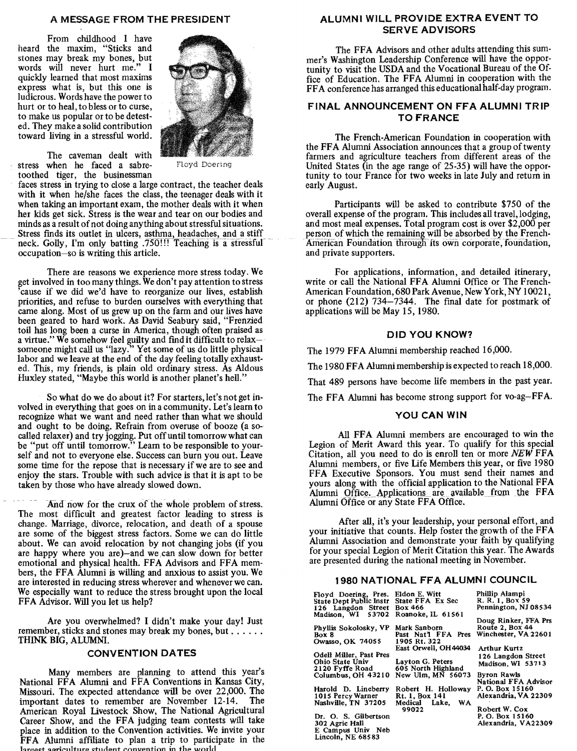#### A MESSAGE FROM THE PRESJDENT

From childhood I have heard the maxim, "Sticks and stones may break my bones, but words will never hurt me." I quickly learned that most maxims express what is, but this one is ludicrous. Words have the power to hurt or to heal, to bless or to curse, to make us popular or to be detested. They make a solid contribution toward living in a stressful world.



The caveman dealt with stress when he faced a sabre- Floyd Doering toothed tiger, the businessman

faces stress in trying to close a large contract, the teacher deals with it when he/she faces the class, the teenager deals with it when taking an important exam, the mother deals with it when her kids get sick. Stress is the wear and tear on our bodies and minds as a result of not doing anything about stressful situations.<br>Stress finds its outlet in ulcers, asthma, headaches, and a stiff neck. Golly, I'm only batting .750!!! Teaching is a stressful occupation-so is writing this article.

There are reasons we experience more stress today. We get involved in too many things. We don't pay attention to stress 'cause if we did we'd have to reorganize our lives, establish priorities, and refuse to burden ourselves with everything that came along. Most of us grew up on the farm and our lives have been geared to hard work. As David Seabury said, "Frenzied toil has long been a curse in America, though often praised as a virtue.'' We somehow feel guilty and find it difficult to relax $$ someone might call us "lazy." Yet some of us do little physical labor and we leave at the end of the day feeling totally exhausted. This, my friends, is plain old ordinary stress. As Aldous Huxley stated, "Maybe this world is another planet's hell."

So what do we do about it? For starters, let's not get involved in everything that goes on in a community. Let's learn to recognize what we want and need rather than what we should and ought to be doing. Refrain from overuse of booze (a socalled relaxer) and try jogging. Put off until tomorrow what can be "put off until tomorrow." Learn to be responsible to yourself and not to everyone else. Success can burn you out. Leave some time for the repose that is necessary if we are to see and enjoy the stars. Trouble with such advice is that it is apt to be taken by those who have already slowed down.

And now for the crux of the whole problem of stress. The most difficult and greatest factor leading to stress is change. Marriage, divorce, relocation, and death of a spouse are some of the biggest stress factors. Some we can do little about. We can avoid relocation by not changing jobs (if you are happy where you are)-and we.can slow down for better emotional and physical health. FFA Advisors and FFA members, the FFA Alumni is willing and anxious to assist you. We are interested in reducing stress wherever and whenever we can. We especially want to reduce the stress brought upon the local FFA Advisor. Will you let us help?

Are you overwhelmed? I didn't make your day! Just remember, sticks and stones may break my bones, but ..... . THINK BIG, ALUMNI.

#### **CONVENTION DATES**

Many members are planning to attend this year's National FFA Alumni and FFA Conventions in Kansas City, Missouri. The expected attendance will be over 22,000. The important dates to remember are November 12-14. The American Royal livestock Show, The National Agricultural Career Show, and the FFA judging team contests will take place in addition to the Convention activities. We invite your FFA Alumni affiliate to plan a trip to participate in the agriculture student convention in the world

#### ALUMNI WILL PROVIDE EXTRA EVENT TO SERVE ADVISORS

The FFA Advisors and other adults attending this summer's Washington Leadership Conference will have the opportunity to visit the USDA and the Vocational Bureau of the Office of Education. The FFA Alumni in cooperation with the FFA conference has arranged this educational half-day program.

#### FINAL ANNOUNCEMENT ON FFA ALUMNI TRIP TO FRANCE

The French-American Foundation in cooperation with the FFA Alumni Association announces that a group of twenty farmers and agriculture teachers from different areas of the United States (in the age range of 25-35) will have the oppor· tunity to tour France for two weeks in late July and return in early August.

Participants will be asked to contribute \$750 of the overall expense of the program. This includes all travel, lodging, and most meal expenses. Total program cost is over \$2,000 per person of which the remaining will be absorbed by the French-American Foundation through its own corporate, foundation, and private supporters.

For applications, information, and detailed itinerary, write or call the National FFA Alumni Office or The French-American Foundation, 680 Park Avenue, New York, NY 10021, or phone (212) 734-7344. The final date for postmark of applications will be May 15, 1980.

#### DID YOU KNOW?

The 1979 FFA Alumni membership reached 16,000.

The 1980 FFA Alumni membership is expected to reach 18,000.

That 489 persons have become life members in the past year.

The FFA Alumni has become strong support for vo-ag-FFA.

#### YOU CAN WIN

All FFA Alumni members are encouraged to win the Legion of Merit Award this year. To qualify for this special Citation, all you need to do is enroll ten or more *NEW* FFA Alumni members, or five Life Members this year, or five 1980 FFA Executive Sponsors. You must send their names and yours along with the official application to the National FFA Alumni Office. Applications are available from the FFA Alumni Office or any State FFA Office.

After all, it's your leadership, your personal effort, and your initiative that counts. Help foster the growth of the FFA Alumni Association and demonstrate your faith by qualifying for your special Legion of Merit Citation this year. The Awards are presented during the national meeting in November.

#### 1980 NATIONAL FFA ALUMNI COUNCIL

| Floyd Doering, Pres. Eldon E. Witt       |                       | Phillip Alampi              |
|------------------------------------------|-----------------------|-----------------------------|
| State Dept Public Instr State FFA Ex Sec |                       | R. R. 1, Box 59             |
| 126 Langdon Street Box 466               |                       | Pennington, NJ 08534        |
| Madison, WI 53702                        | Roanoke, IL 61561     |                             |
|                                          |                       | Doug Rinker, FFA Prs        |
| Phyllis Sokolosky, VP                    | Mark Sanborn          | Route 2, Box 44             |
| Box 8                                    | Past Nat'l FFA Pres   | Winchester, VA 22601        |
| Owasso, OK 74055                         | 1905 Rt. 322          |                             |
|                                          |                       |                             |
|                                          | East Orwell. OH 44034 | Arthur Kurtz                |
| Odell Miller, Past Pres                  |                       | 126 Langdon Street          |
| Ohio State Univ                          | Lavton G. Peters      | Madison, WI 53713           |
| 2120 Fyffe Road                          | 605 North Highland    |                             |
| Columbus, OH 43210                       | New Ulm, MN 56073     | <b>Byron Rawls</b>          |
|                                          |                       | <b>National FFA Advisor</b> |
| Harold D. Lineberry                      | Robert H. Holloway    | P. O. Box 15160             |
| 1015 Percy Warner                        | Rt. 1, Box 141        | Alexandria, VA 22309        |
| Nashville, TN 37205                      | Medical Lake, WA      |                             |
|                                          |                       |                             |
|                                          | 99022                 | Robert W. Cox               |
| Dr. O. S. Gilbertson                     |                       | P. O. Box 15160             |
| 302 Agric Hall                           |                       | Alexandria, VA22309         |
| E Campus Univ Neb                        |                       |                             |
| Lincoln, NE 68583                        |                       |                             |
|                                          |                       |                             |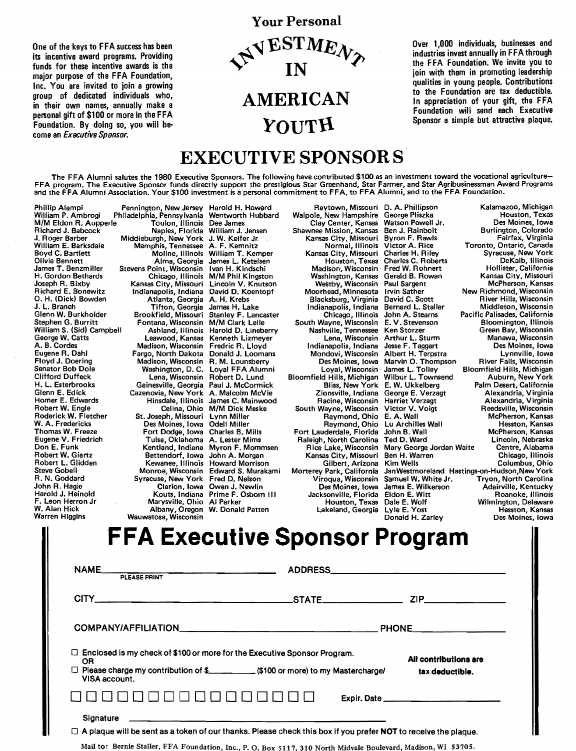One of the keys to FFA success has been its incentive award programs. Providing funds for these incentive awards is the major purpose of the FFA Foundation, Inc. You are invited to join a growing group of dedicated individuals who, in their own names, annually make a personal gift of \$100 or more in the FFA Foundation. By doing so, you will become an *Executive Sponsor.* 



Over 1,000 individuals, businesses and industries invest annually in FFA through the FFA Foundation. We invite you to join with them in promoting leadership qualities in young people. Contributions to the Foundation are tax deductible. In appreciation of your gift, the FFA Foundation will send each Executive Sponsor a simple but attractive plaque.

## EXECUTIVE SPONSORS

The FFA Alumni salutes the 1980 Executive Sponsors. The following have contributed \$100 as an investment toward the vocational agriculture-FFA program. The Executive Sponsor funds directly support the prestigious Star Greenhand, Star Farmer, and Star Agribusinessman Award Programs<br>and the FFA Alumni Association. Your \$100 investment is a personal commitment t

Phillip Alampi Pennington, New Jersey Harold H. Howard<br>William P. Ambrogi Philadelphia, Pennsylvania Wentworth Hubbard Robert L. Glidden Kewanee, Illinois<br>Steve Gobeli Monroe, Wisconsin F. Leon Herron Jr Marysville, Ohio Al Parker W. Alan Hick Albany, Oregon W. Donald Patten Warren Higgins Wauwatosa, Wisconsin

**NAM** 

Philadelphia, Pennsylvania Wentworth **Philadelphia, Pennsylvania Wentworth** M/M Eldon R. Aupperle Toulon, Illinois Dee James Richard J. Babcock **Naples, Florida William J. Jens**<br>J. Roger Barber **Niddleburgh, New York J. W. Keifer Jr.** J. Roger Barber Middleburgh, New York J. W. Keifer Jr William E. Barksdale Memphis, Tennessee A. F. Kemnitz Boyd C. Bartlett Moline, Illinois William T. Kemper<br>Olivia Bennett Alma, Georgia James L. Ketelsen<br>James T. Benzmiller Stevens Point, Wisconsin Ivan H. Kindschi Olivia Bennett Alma, Georgia James L. Ketelsen James T. Benzmiller Stevens Point, Wisconsin Ivan H. Kindschi Richard E. Bonewitz Indianapolis, Indiana David D. Koentopf O. H. (Dick) Bowden Atlanta, Georgia A. H. Krebs J. L. Branch Tifton, Georgia James H. Lake Glenn W. Burkholder Brookfield, Missouri Stanley F. Lancaster Fontana, Wisconsin M/M Clark Lelle<br>Ashland, Illinois Harold D. Lineberry Stephen G. Burritt Fontana, Wisconsin M/M Clark Lelle<br>William S. (Sid) Campbell Ashland, Illinois Harold D. Lineberr<br>George W. Catts Leawood, Kansas Kenneth Lizmeyer Floyd J. Doering Madison, Wisconsin R. M. Lounsberry<br>Senator Bob Dole Washington, D. C. Loyal FFA Alumni<br>Clifford Duffeck Lena, Wisconsin Robert D. Lund Clifford Duffeck Lena, Wisconsin Robert D. Lund<br>
H. L. Esterbrooks Gainesville, Georgia Paul J. McCormick Robert W. Giertz **Bettendorf, Iowa John A. Morgan**<br>Robert L. Glidden **B. Kewanee, Illinois** Howard Morrison Steve GobeO Monroe, Wisconsin Edward S. Murakami R. N. Goddard Syracuse, New York Fred D. Nelson<br>John R. Hagie Clarion, Iowa Owen J. Newlin Harold J. Heinold Kouts, Indiana Prime F. Osborn Ill

Kansas City, Missouri Byron F. Rawl:<br>Normal, Illinois Victor A. Rice Chicago, Illinois John A. Stex<br>South Wayne, Wisconsin E. V. Steven<br>Nashville, Tennessee Ken Storzer Eugene R. Dahl Fargo, North Dakota Donald J. Loomans Mondovi, Wisconsin Albert H. Terpstra<br>
Floyd J. Doering Madison, Wisconsin R. M. Lounsberry Des Moines, Iowa Marvin O. Thompson<br>
Senator Bob Dole Washington, D. C. Loyal Gilbert, Arizona Lakeland, Georgia Lyle E. Yost<br>Donald H. Zarley

Raytown, Missouri D. A. Phillipson Kalamazoo, Michigan<br>Ie, New Hampshire George Pliszka Houston, Texas Walpole, New Hampshire George Pliszka Houston, Texas<br>Clay Center, Kansas Watson Powell Jr. Des Moines, Iowa Clay Center, Kansas Watson Powell Jr. Des Moines, Iowa<br>Vie Burlington, Elensis Ben J. Rainbolt Burlington, Colorado Shawnee Mission, Kansas Ben J. Rainbolt Burlington, Colorado<br>Kansas City, Missouri Byron F. Rawls Fairfax, Virginia Victor A. Rice Toronto, Ontario, Canada<br>Charles H. Riley Syracuse, New York Kansas City, Missouri Charles H. Riley Syracuse, New York<br>Houston, Texas Charles C. Roberts DeKalb, Illinois Houston, Texas Charles c. Roberts DeKalb, Illinois Madison, Wisconsin· Fred W. Rohnert Hollister, California H. Gordon Bethards Chicago, Illinois M/M Phil Kingston Washington, Kansas Gerald B. Rowan Kansas City, Missouri Joseph R. Bixby Kansas City, Missouri Lincoln V. Knutson Westby, Wisconsin Paul Sargent McPherson, Kansas Washington, Kansas Gerald B. Rowan<br>
Westby, Wisconsin Paul Sargent<br>
Moorhead, Minnesota Irvin Sather New Richmond, Wisconsin<br>
Blacksburg, Virginia David C. Scott River Hills, Wisconsin<br>
River Hills, Wisconsin Blacksburg, Virginia David C. Scott River Hills, Wisconsin<br>Indianapolis, Indiana Bernard L. Staller Middleton, Wisconsin Bernard L. Staller Middleton, Wisconsin<br>John A. Stearns Pacific Palisades, California John A. Stearns Pacific Palisades, California<br>E. V. Stevenson Bloomington, Illinois hville, Tennessee Ken Storzer Green Bay, Wisconsin<br>Lena, Wisconsin Arthur L. Sturm Manawa, Wisconsin George W. Catts Leawood, Kansas Kenneth Lizmeyer Lena, Wisconsin Arthur L. Sturm Manawa, Wisconsin A. B. Cordes Madison, Wisconsin Fredric R. Lloyd Indianapolis, Indiana Jesse F. Taggart Des Moines, Iowa Floyd J. Doering Madison, Wisconsin R. M. Lounsberry Des Moines, Iowa Marvin O. Thompson River Falls, Wisconsin<br>Senator Bob Dole Washington, D. C. Loyal F Loyal, Wisconsin James L. Tolley Bloomfield Hills, Michigan<br>Bloomfield Hills, Michigan Wilbur L. Townsend Auburn, New York<br>Bliss, New York E. W. Ukkelberg Palm Desert, California H. L. Esterbrooks Gainesville, Georgia Paul J. McCormick Bliss, New York E. W. Ukkelberg Palm Desert, California<br>Glenn E. Edick Cazenovia, New York A. Malcolm McVie Zionsville, Indiana George E. Verzagt Glenn E. Edick Cazenovia, New York A. Malcolm McVie Zionsville, Indiana George E. Verzagt Alexandria, Virginia Homer E. Edwards Hinsdale, Illinois James c. Mainwood Racine, Wisconsin Harriet Verzagt Alexandria, Virginia Robert W. Engle Celina, Ohio M/M Dick Meske South Wayne, Wisconsin Victor V. Voigt Reedsville, Wisconsin Roderick W. Fletcher St. Joseph, Missouri Lynn Miller Raymond, Ohio E. A. Wall McPherson, Kansas W. A. Fredericks Construction Des Moines, Iowa Odell Miller Raymond, Ohio Lu Archilles Wall Hesston, Kansas<br>Thomas W. Freeze Fort Dodge, Iowa Charles B. Mills Fort Lauderdale, Florida John B. Wall McPherson, Kansas<br>Eugene Thomas W. Freeze Fort Dodge, Iowa Charles B. Mills Fort Lauderdale, Florida John B. Wall McPherson, Kansas Eugene V. Friedrich Tulsa, Oklahoma A. Lester Mims Raleigh, North Carolina Ted D. Ward Lincoln, Nebraska Don E. Funk Kentland, Indiana Myron F. Mommsen Rice Lake, Wisconsin Mary George Jordan Waite Centre, Alabama<br>Robert W. Giertz **Reading Contain Bettendorf, Iowa John A.** Morgan Kansas City, Missouri Ben H. Warren Chicago, I Kansas City, Missouri Ben H. Warren Chicago, Illinois Jan Westmoreland Hastings-on-Hudson, New York<br>Samuel W. White Jr. Tryon. North Carolina Morterey Park, California Jan Westmoreland Hastings-on-Hudson, New York<br>Viroqua, Wisconsin Samuel W. White Jr. Tryon, North Carolina<br>Des Moines, Iowa James E. Wilkerson Adairville, Kentucky<br>Jacksonville, Florida Eldon E. W John R. Hagie Clarion, Iowa Owen J. Newlin Des Moines, Iowa James E. Wilkerson Adairville, Kentucky Jacksonville, Florida Eldon E. Witt Roanoke, Illinois Houston, Texas Dale E. Wolf Wilmington, Delaware Des Moines, Iowa

|              | <b>FFA Executive Sponsor Program</b> |  |  |  |
|--------------|--------------------------------------|--|--|--|
| PLEASE PRINT | <b>ADDRESS</b>                       |  |  |  |
|              | STATE<br>7IP                         |  |  |  |

| $\Box$ Enclosed is my check of \$100 or more for the Executive Sponsor Program.<br>OR<br>VISA account. | All contributions are<br>tax deductible. |
|--------------------------------------------------------------------------------------------------------|------------------------------------------|
|                                                                                                        | Expir. Date                              |
| Signature                                                                                              |                                          |

 $\Box$  A plaque will be sent as a token of our thanks. Please check this box if you prefer NOT to receive the plaque.

Mail to: Bernie Staller, FFA Foundation, Inc., P.O. Box 5117, 310 North Midvale Boulevard, Madison, WI 53705.